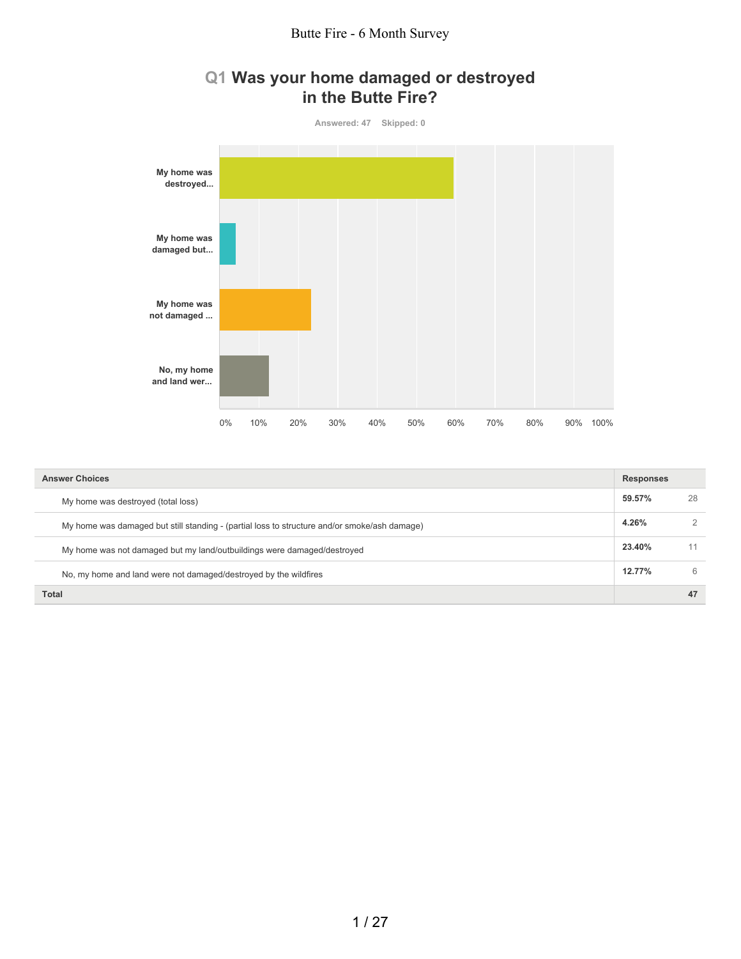## **Q1 Was your home damaged or destroyed in the Butte Fire?**



| <b>Answer Choices</b>                                                                        | <b>Responses</b> |    |
|----------------------------------------------------------------------------------------------|------------------|----|
| My home was destroyed (total loss)                                                           | 59.57%           | 28 |
| My home was damaged but still standing - (partial loss to structure and/or smoke/ash damage) | 4.26%            | 2  |
| My home was not damaged but my land/outbuildings were damaged/destroyed                      | 23.40%           | 11 |
| No, my home and land were not damaged/destroyed by the wildfires                             | 12.77%           | 6  |
| <b>Total</b>                                                                                 |                  | 47 |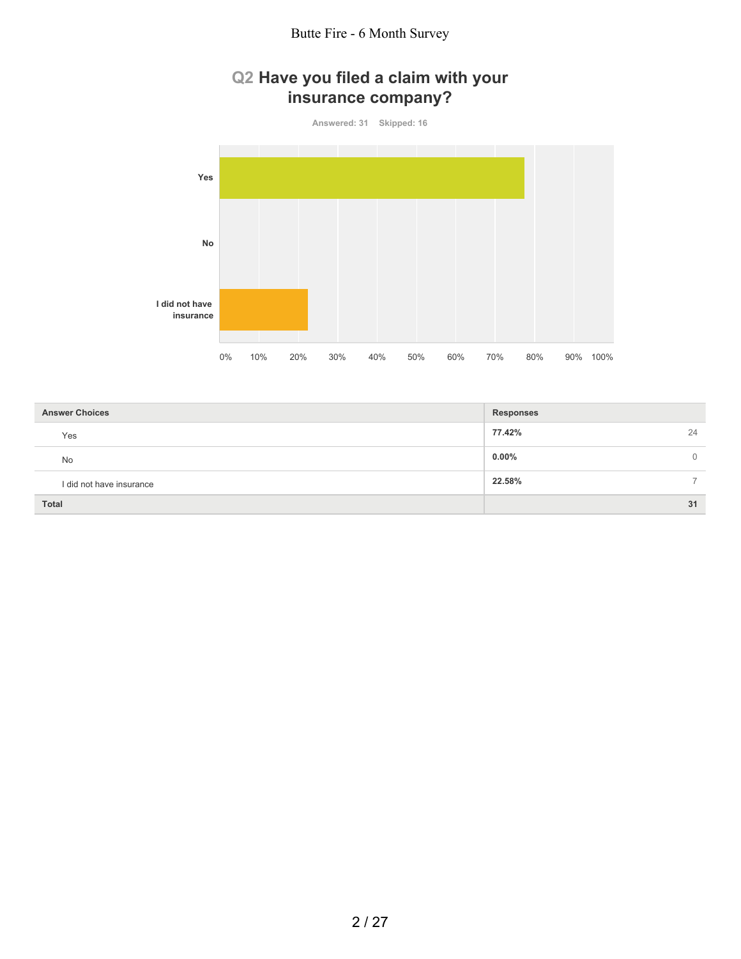# **Q2 Have you filed a claim with your insurance company?**

**Answered: 31 Skipped: 16**



| <b>Answer Choices</b>    | <b>Responses</b> |
|--------------------------|------------------|
| Yes                      | 77.42%<br>24     |
| <b>No</b>                | $0.00\%$<br>0    |
| I did not have insurance | 22.58%           |
| Total                    | 31               |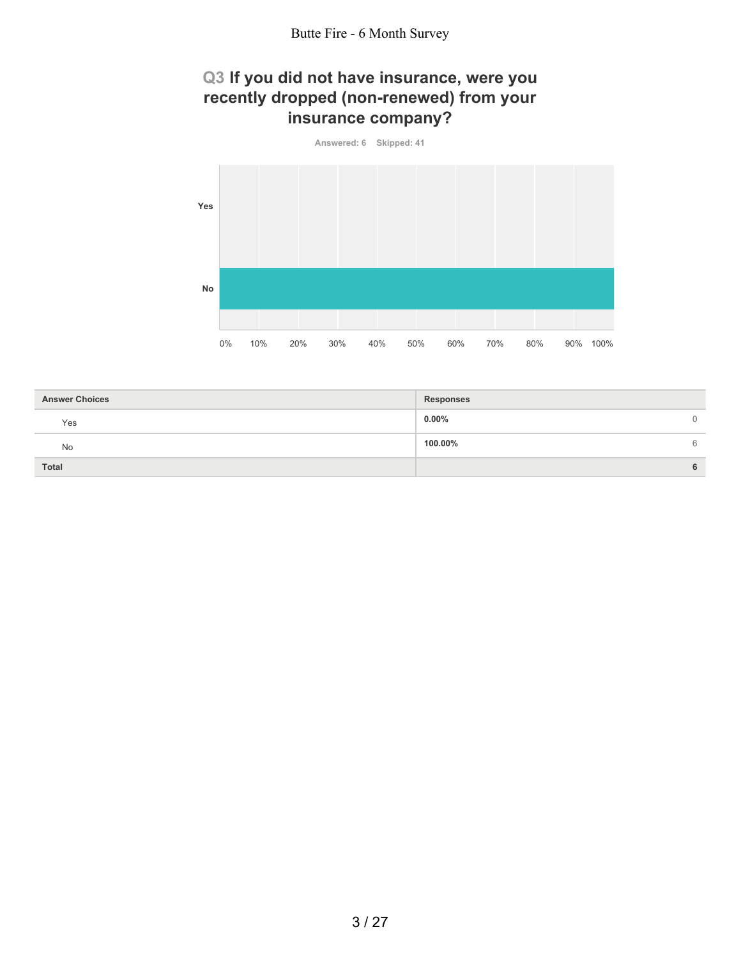# **Q3 If you did not have insurance, were you recently dropped (non-renewed) from your insurance company?**



| <b>Answer Choices</b> | Responses |   |
|-----------------------|-----------|---|
| Yes                   | $0.00\%$  | 0 |
| No                    | 100.00%   | 6 |
| <b>Total</b>          |           | 6 |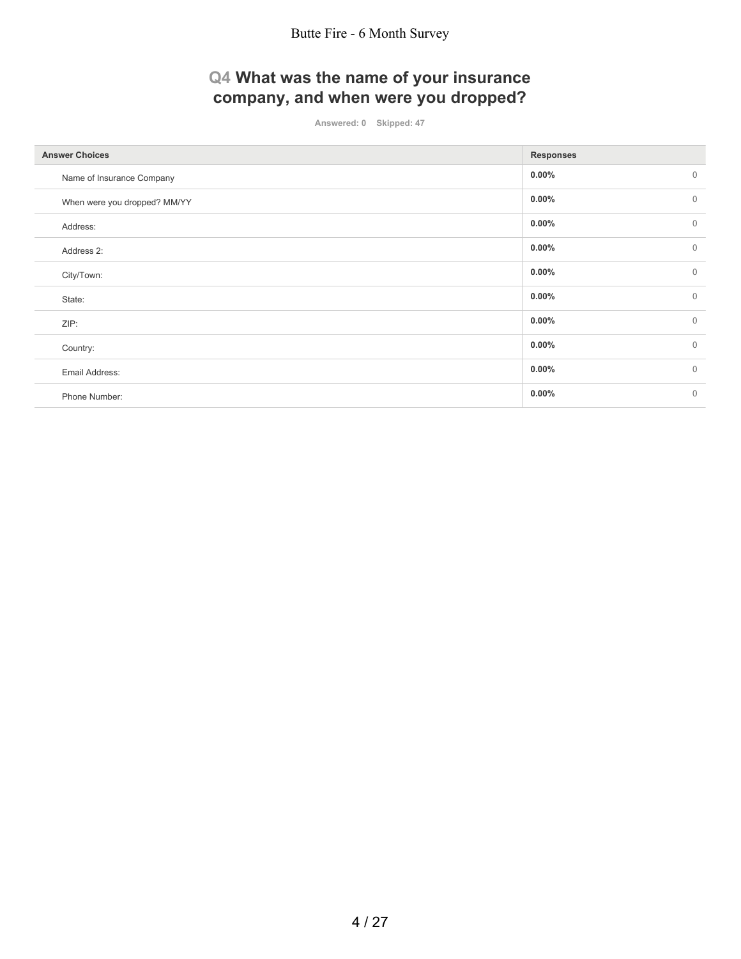# **Q4 What was the name of your insurance company, and when were you dropped?**

**Answered: 0 Skipped: 47**

| <b>Answer Choices</b>        | <b>Responses</b>         |
|------------------------------|--------------------------|
| Name of Insurance Company    | $0.00\%$<br>$\mathbf{0}$ |
| When were you dropped? MM/YY | $\mathbf{0}$<br>$0.00\%$ |
| Address:                     | $\mathbf{0}$<br>$0.00\%$ |
| Address 2:                   | $0.00\%$<br>$\mathbf 0$  |
| City/Town:                   | $0.00\%$<br>$\mathbf{0}$ |
| State:                       | $\mathbf{0}$<br>$0.00\%$ |
| ZIP:                         | $\mathbf{0}$<br>$0.00\%$ |
| Country:                     | $\mathbf 0$<br>$0.00\%$  |
| Email Address:               | $\mathbf{0}$<br>$0.00\%$ |
| Phone Number:                | $\mathbf{0}$<br>$0.00\%$ |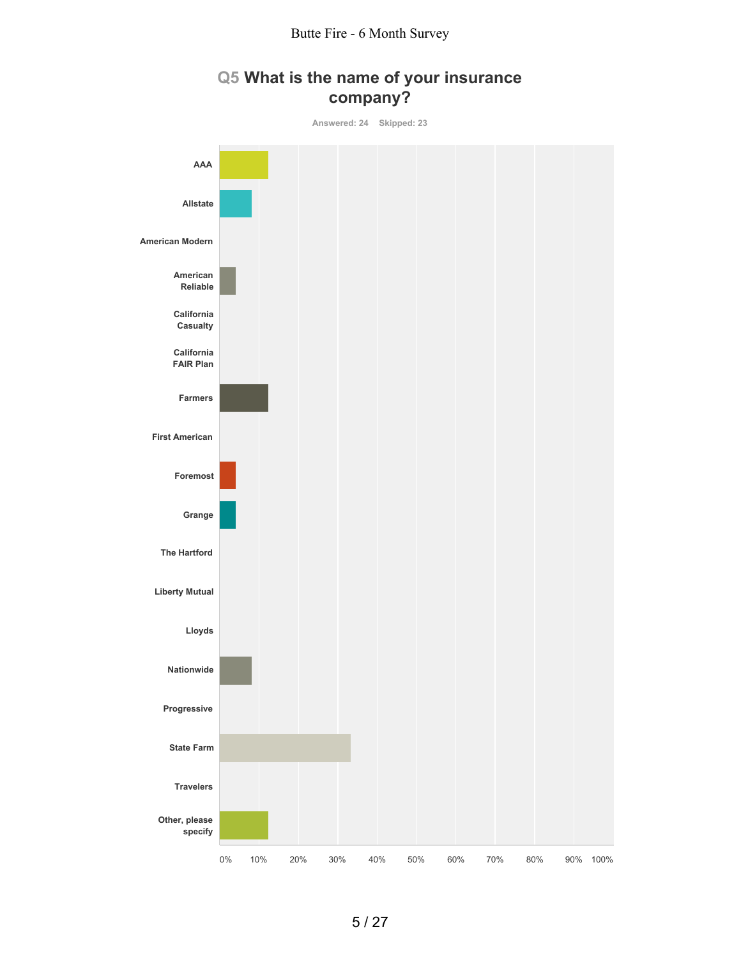

# **Q5 What is the name of your insurance company?**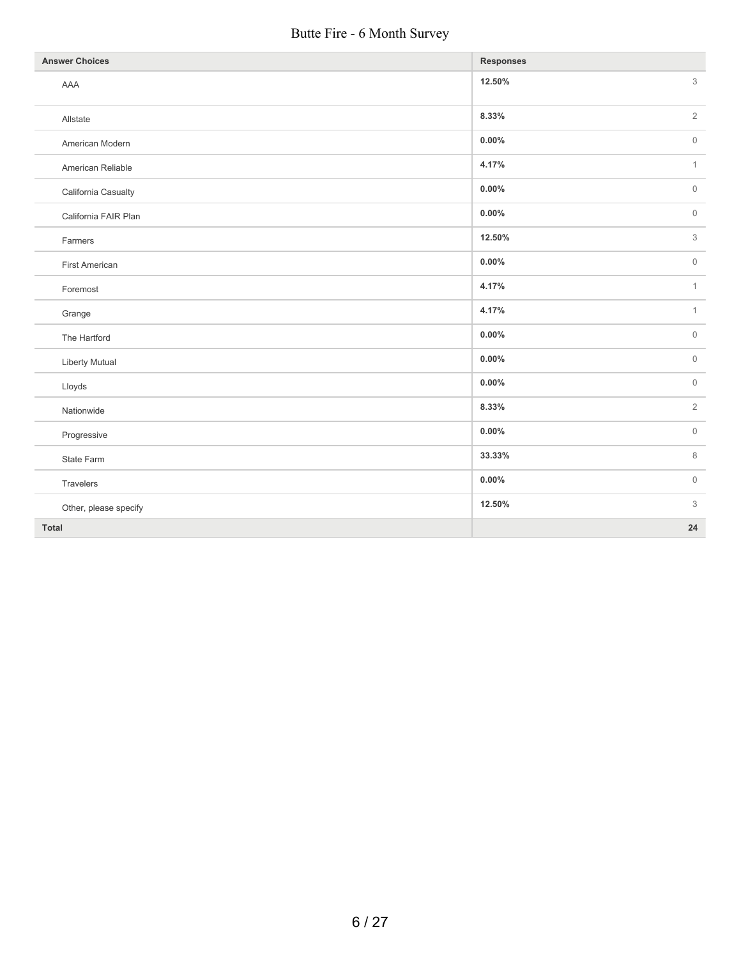## Butte Fire - 6 Month Survey

| <b>Answer Choices</b> | <b>Responses</b>                |
|-----------------------|---------------------------------|
| AAA                   | 3<br>12.50%                     |
| Allstate              | $\overline{2}$<br>8.33%         |
| American Modern       | $0.00\%$<br>$\mathsf{O}\xspace$ |
| American Reliable     | $\mathbf{1}$<br>4.17%           |
| California Casualty   | $0.00\%$<br>$\mathsf{O}\xspace$ |
| California FAIR Plan  | $0.00\%$<br>$\mathsf{O}\xspace$ |
| Farmers               | 3<br>12.50%                     |
| First American        | $0.00\%$<br>$\mathbb O$         |
| Foremost              | 4.17%<br>$\mathbf{1}$           |
| Grange                | 4.17%<br>$\mathbf{1}$           |
| The Hartford          | $\mathbb O$<br>$0.00\%$         |
| Liberty Mutual        | $\mathbb O$<br>$0.00\%$         |
| Lloyds                | $\mathbb O$<br>$0.00\%$         |
| Nationwide            | $\overline{2}$<br>8.33%         |
| Progressive           | $\mathsf{O}\xspace$<br>$0.00\%$ |
| State Farm            | 8<br>33.33%                     |
| Travelers             | $0.00\%$<br>$\mathsf{O}\xspace$ |
| Other, please specify | 12.50%<br>3                     |
| Total                 | 24                              |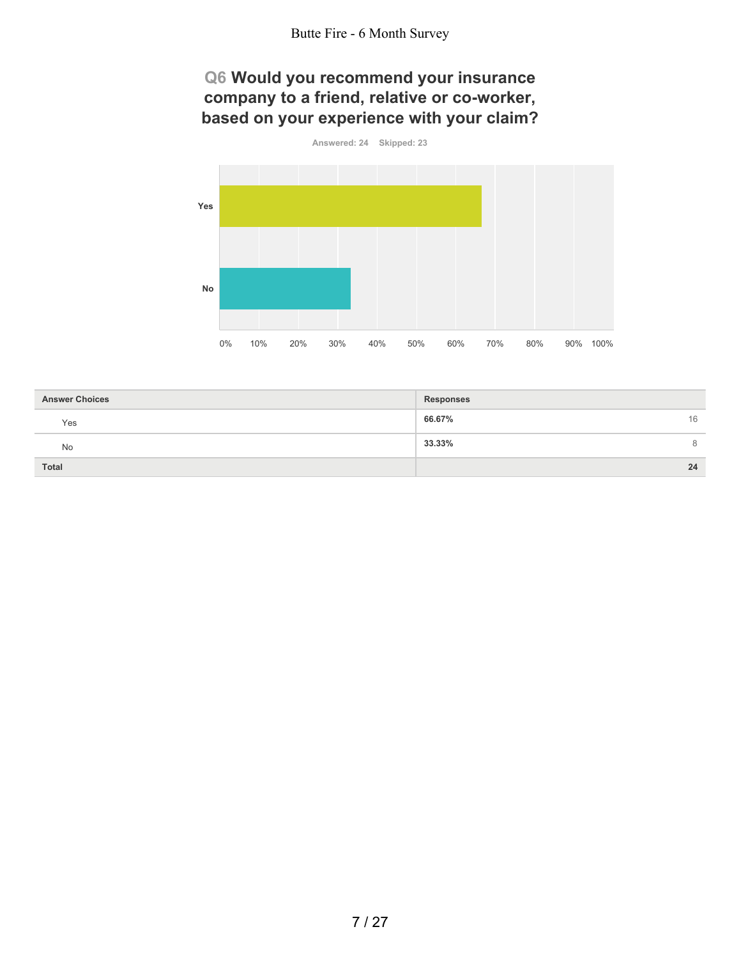## **Q6 Would you recommend your insurance company to a friend, relative or co-worker, based on your experience with your claim?**



| <b>Answer Choices</b> | <b>Responses</b> |
|-----------------------|------------------|
| Yes                   | 66.67%<br>16     |
| No                    | 33.33%<br>8      |
| <b>Total</b>          | 24               |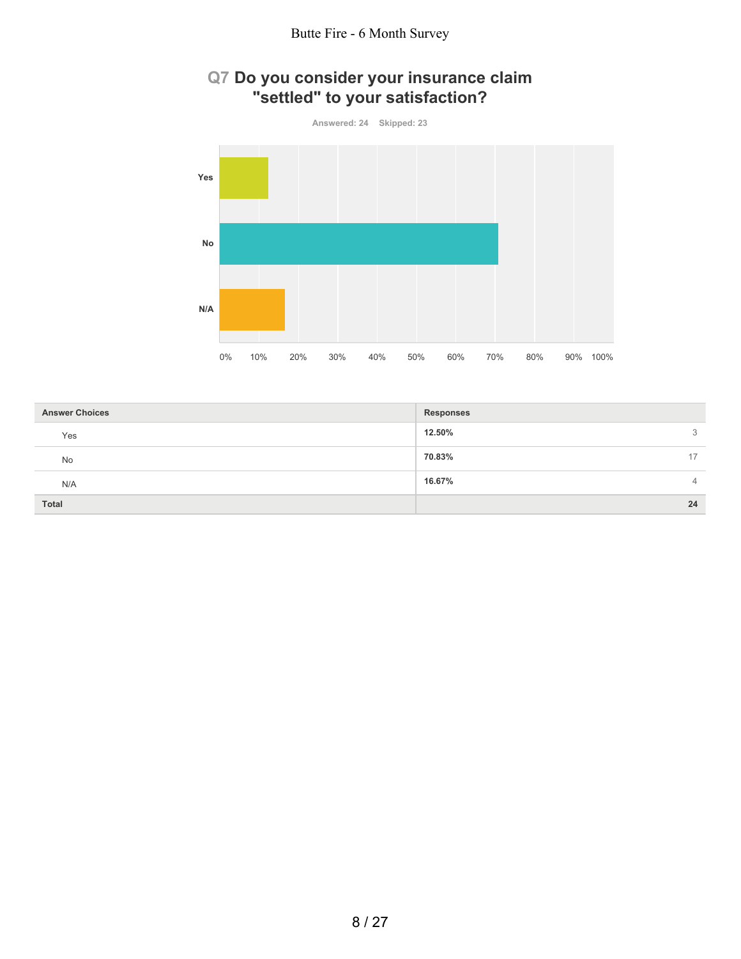

# **Q7 Do you consider your insurance claim "settled" to your satisfaction?**

| <b>Answer Choices</b> | <b>Responses</b> |
|-----------------------|------------------|
| Yes                   | 12.50%<br>3      |
| No                    | 70.83%<br>17     |
| N/A                   | 16.67%<br>4      |
| <b>Total</b>          | 24               |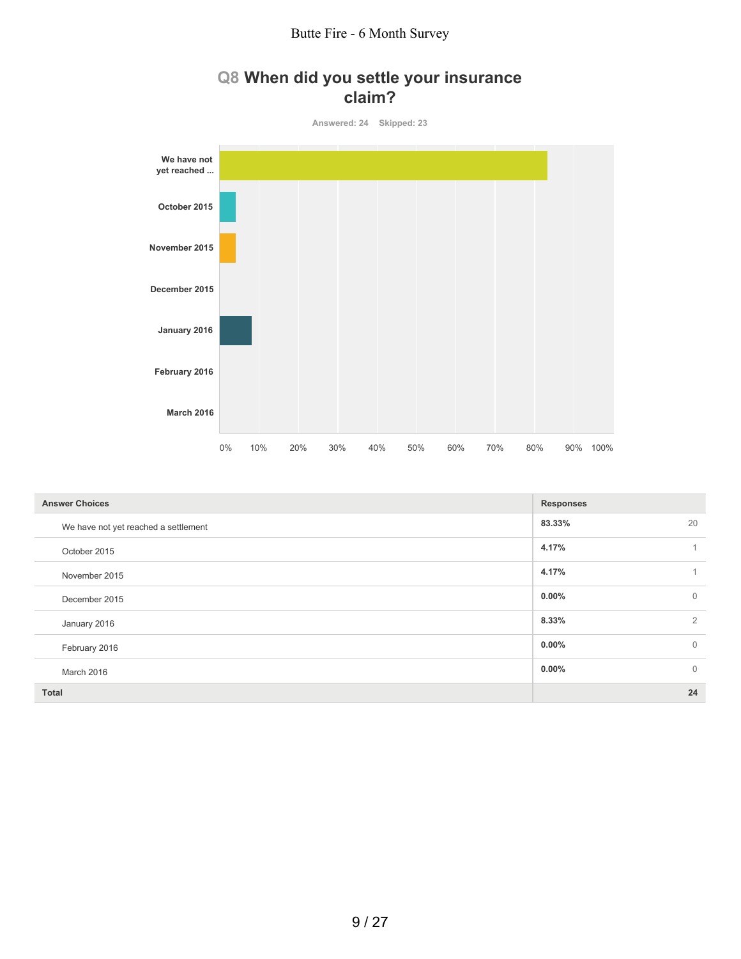# **Q8 When did you settle your insurance claim?**

**Answered: 24 Skipped: 23**



| <b>Answer Choices</b>                | <b>Responses</b>         |
|--------------------------------------|--------------------------|
| We have not yet reached a settlement | 83.33%<br>20             |
| October 2015                         | 4.17%                    |
| November 2015                        | 4.17%                    |
| December 2015                        | $\mathbf{0}$<br>$0.00\%$ |
| January 2016                         | $\overline{2}$<br>8.33%  |
| February 2016                        | $\mathbf{0}$<br>$0.00\%$ |
| March 2016                           | $\mathbf{0}$<br>$0.00\%$ |
| <b>Total</b>                         | 24                       |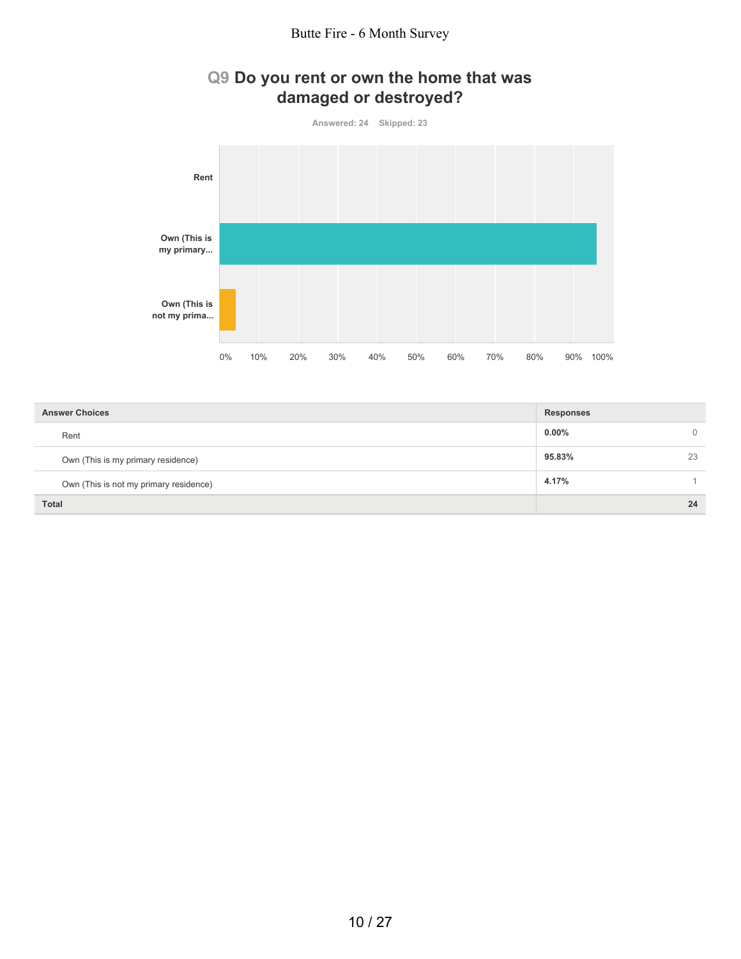#### Butte Fire - 6 Month Survey



| <b>Answer Choices</b>                  | <b>Responses</b> |          |
|----------------------------------------|------------------|----------|
| Rent                                   | $0.00\%$         | $\Omega$ |
| Own (This is my primary residence)     | 95.83%           | 23       |
| Own (This is not my primary residence) | 4.17%            |          |
| <b>Total</b>                           |                  | 24       |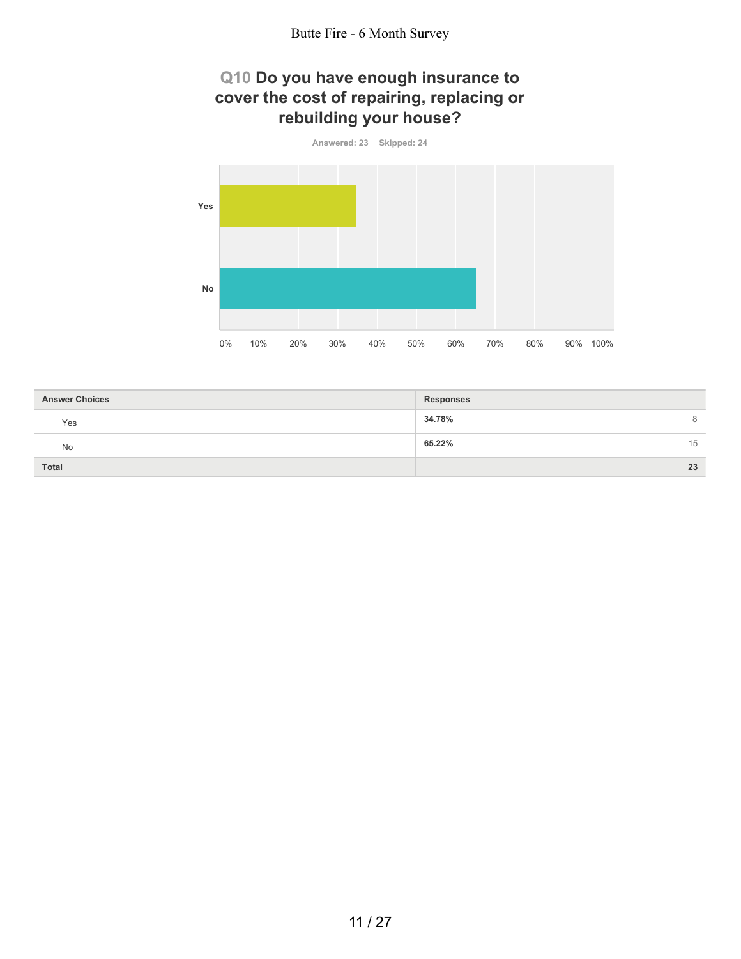# **Q10 Do you have enough insurance to cover the cost of repairing, replacing or rebuilding your house?**



| <b>Answer Choices</b> | <b>Responses</b> |
|-----------------------|------------------|
| Yes                   | 34.78%<br>8      |
| No                    | 65.22%<br>15     |
| <b>Total</b>          | 23               |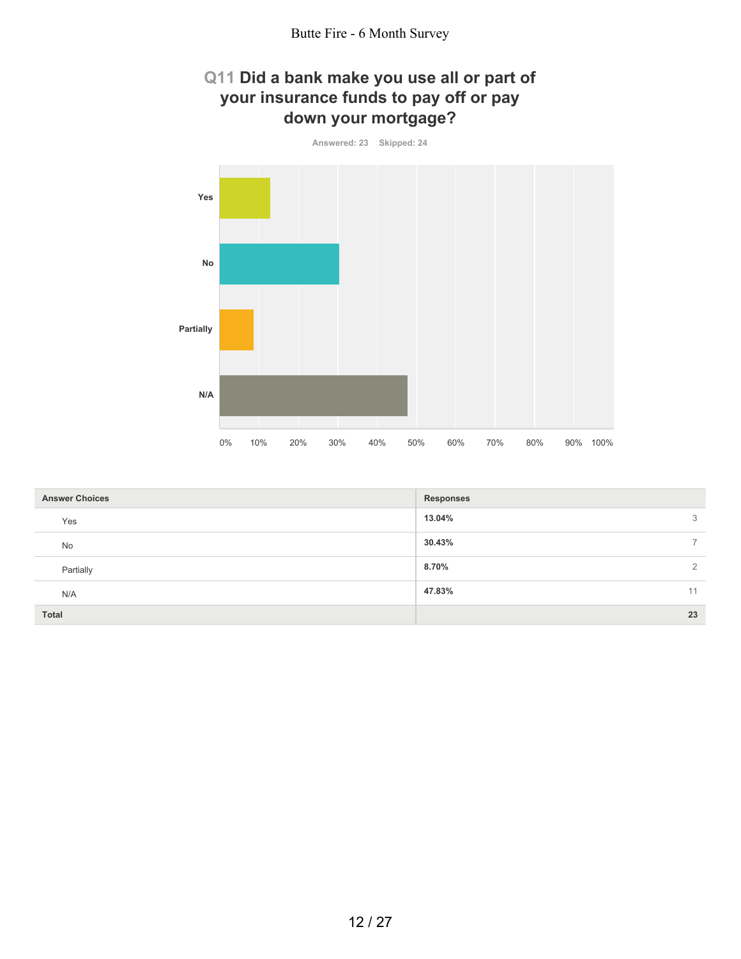## **Q11 Did a bank make you use all or part of your insurance funds to pay off or pay down your mortgage?**



| <b>Answer Choices</b> | Responses                |
|-----------------------|--------------------------|
| Yes                   | 13.04%<br>3              |
| No                    | 30.43%<br>$\overline{7}$ |
| Partially             | 8.70%<br>2               |
| N/A                   | 47.83%<br>11             |
| <b>Total</b>          | 23                       |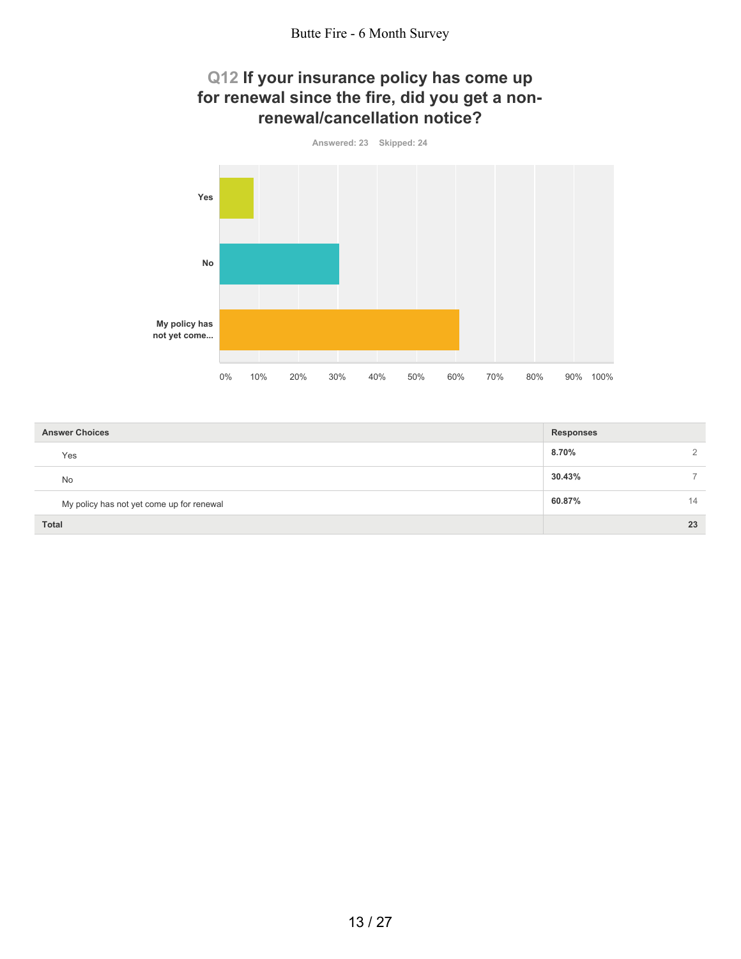#### **Q12 If your insurance policy has come up for renewal since the fire, did you get a nonrenewal/cancellation notice?**



| <b>Answer Choices</b>                     | <b>Responses</b> |
|-------------------------------------------|------------------|
| Yes                                       | 8.70%            |
| <b>No</b>                                 | 30.43%           |
| My policy has not yet come up for renewal | 60.87%<br>14     |
| <b>Total</b>                              | 23               |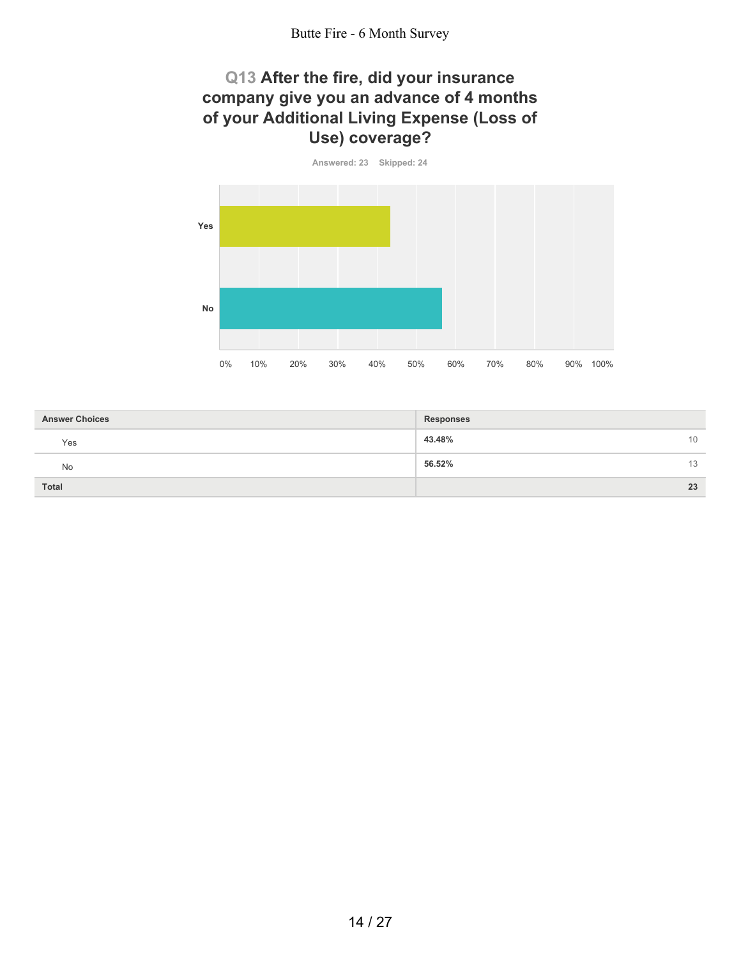## **Q13 After the fire, did your insurance company give you an advance of 4 months of your Additional Living Expense (Loss of Use) coverage?**



| <b>Answer Choices</b> | <b>Responses</b> |
|-----------------------|------------------|
| Yes                   | 43.48%<br>10     |
| No                    | 56.52%<br>13     |
| <b>Total</b>          | 23               |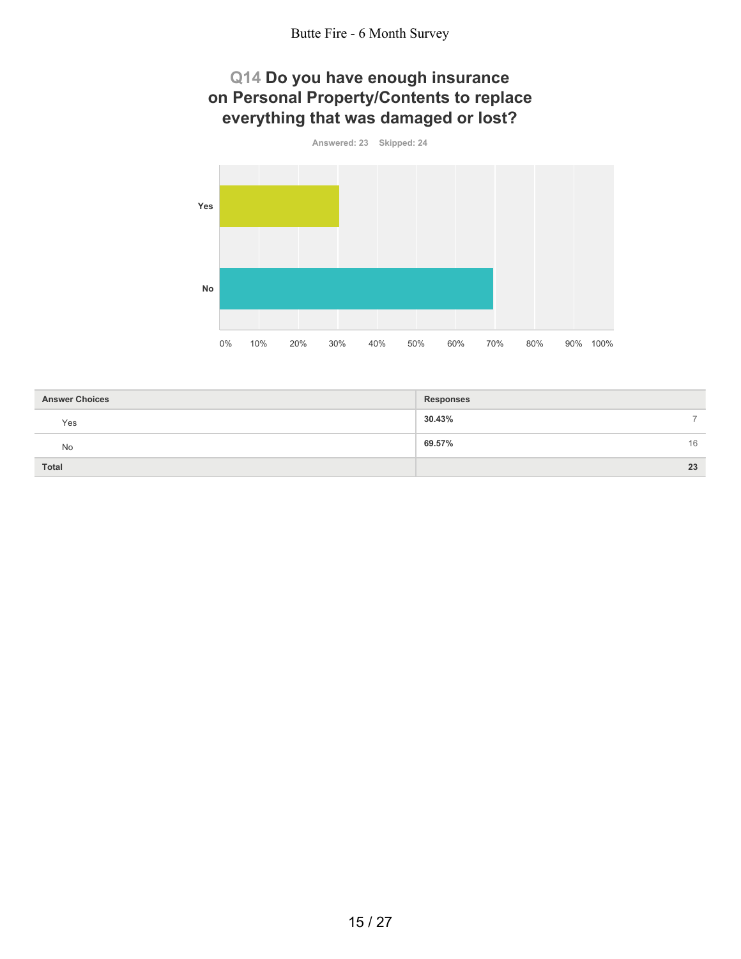## **Q14 Do you have enough insurance on Personal Property/Contents to replace everything that was damaged or lost?**



| <b>Answer Choices</b> | <b>Responses</b> |
|-----------------------|------------------|
| Yes                   | 30.43%<br>-      |
| <b>No</b>             | 69.57%<br>16     |
| <b>Total</b>          | 23               |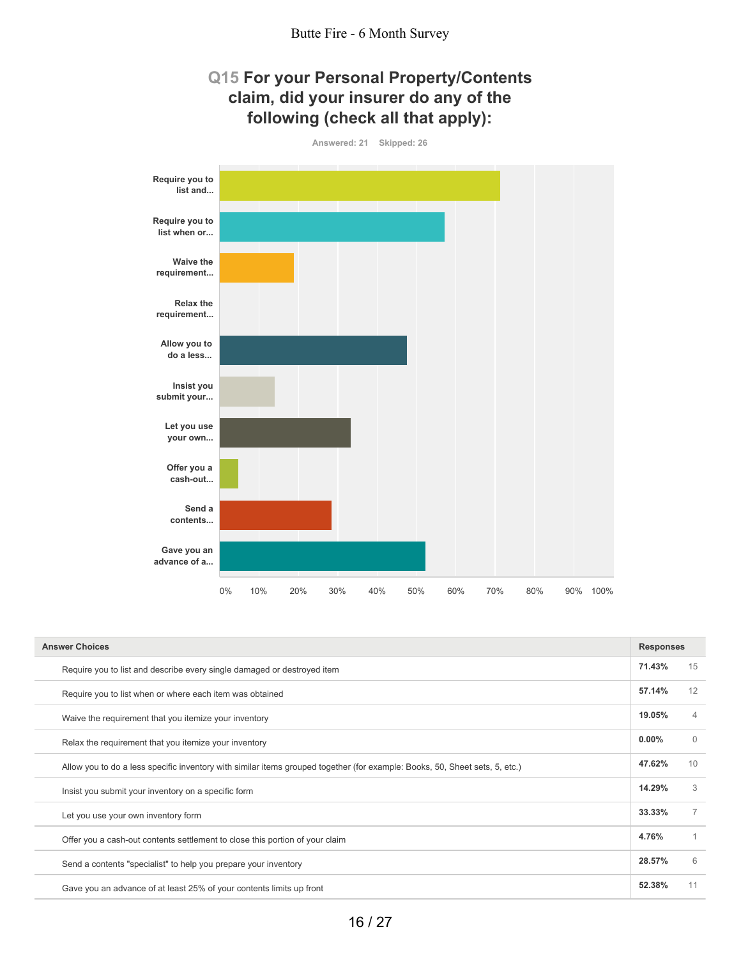# **Q15 For your Personal Property/Contents claim, did your insurer do any of the following (check all that apply):**



| <b>Answer Choices</b>                                                                                                       | <b>Responses</b> |                |
|-----------------------------------------------------------------------------------------------------------------------------|------------------|----------------|
| Require you to list and describe every single damaged or destroyed item                                                     | 71.43%           | 15             |
| Require you to list when or where each item was obtained                                                                    | 57.14%           | 12             |
| Waive the requirement that you itemize your inventory                                                                       | 19.05%           | $\overline{4}$ |
| Relax the requirement that you itemize your inventory                                                                       | $0.00\%$         | $\Omega$       |
| Allow you to do a less specific inventory with similar items grouped together (for example: Books, 50, Sheet sets, 5, etc.) | 47.62%           | 10             |
| Insist you submit your inventory on a specific form                                                                         | 14.29%           | 3              |
| Let you use your own inventory form                                                                                         | 33.33%           | $\overline{7}$ |
| Offer you a cash-out contents settlement to close this portion of your claim                                                | 4.76%            |                |
| Send a contents "specialist" to help you prepare your inventory                                                             | 28.57%           | 6              |
| Gave you an advance of at least 25% of your contents limits up front                                                        | 52.38%           | 11             |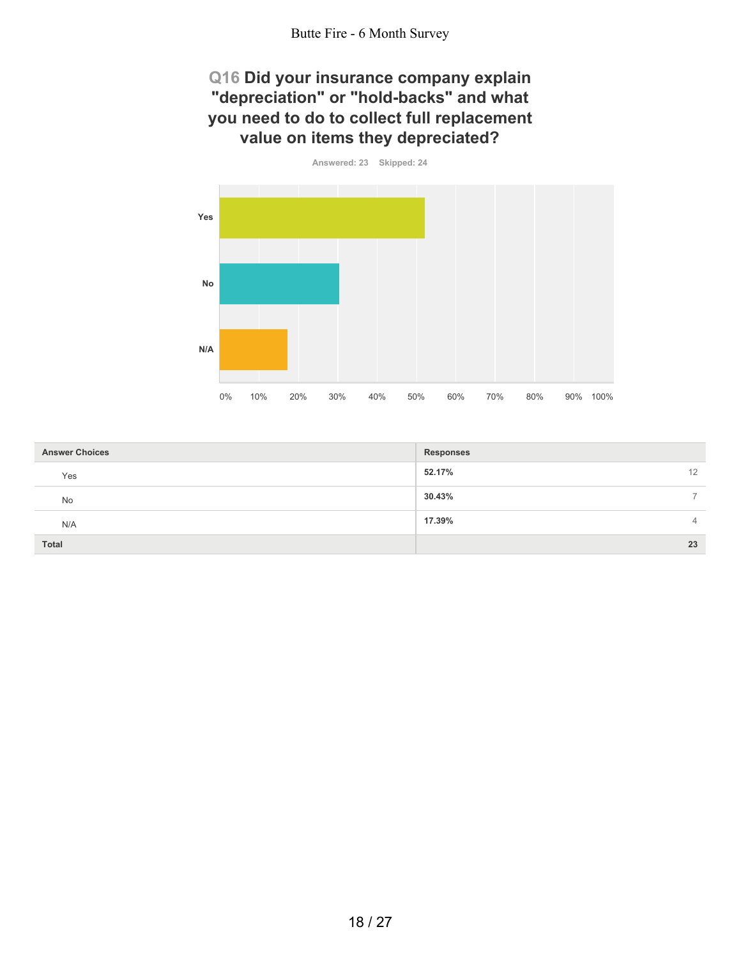# **Q16 Did your insurance company explain "depreciation" or "hold-backs" and what you need to do to collect full replacement value on items they depreciated?**



| <b>Answer Choices</b> | <b>Responses</b> |
|-----------------------|------------------|
| Yes                   | 52.17%<br>12     |
| No                    | 30.43%           |
| N/A                   | 17.39%<br>4      |
| Total                 | 23               |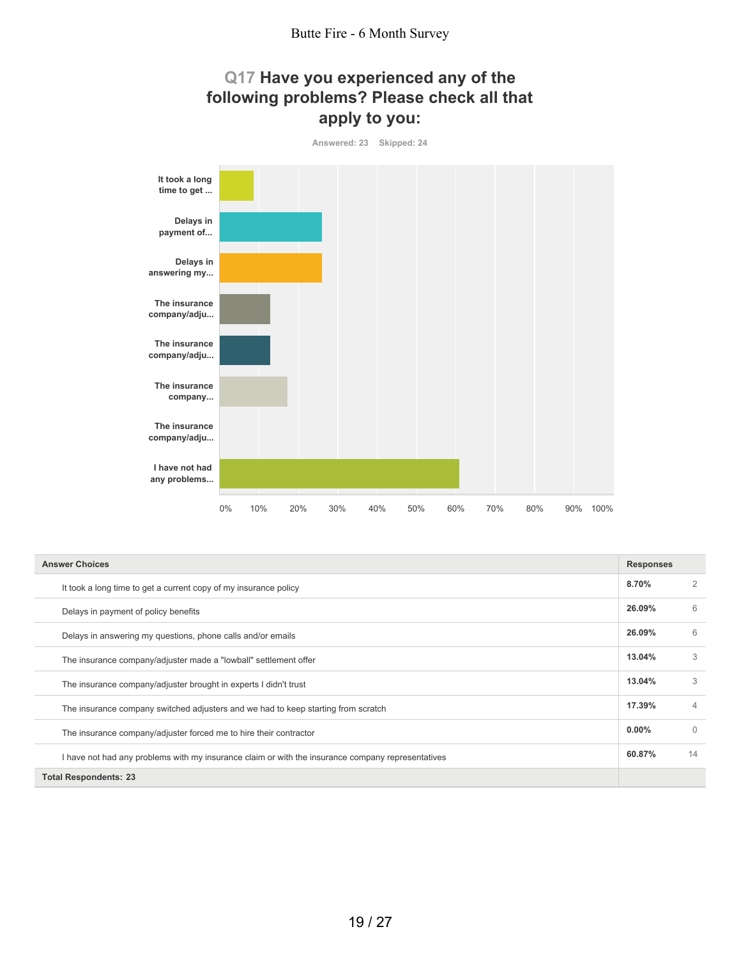## **Q17 Have you experienced any of the following problems? Please check all that apply to you:**



| <b>Answer Choices</b>                                                                             |          |          |
|---------------------------------------------------------------------------------------------------|----------|----------|
| It took a long time to get a current copy of my insurance policy                                  | 8.70%    |          |
| Delays in payment of policy benefits                                                              | 26.09%   | 6        |
| Delays in answering my questions, phone calls and/or emails                                       | 26.09%   | 6        |
| The insurance company/adjuster made a "lowball" settlement offer                                  | 13.04%   | 3        |
| The insurance company/adjuster brought in experts I didn't trust                                  | 13.04%   | 3        |
| The insurance company switched adjusters and we had to keep starting from scratch                 | 17.39%   | 4        |
| The insurance company/adjuster forced me to hire their contractor                                 | $0.00\%$ | $\Omega$ |
| I have not had any problems with my insurance claim or with the insurance company representatives | 60.87%   | 14       |
| <b>Total Respondents: 23</b>                                                                      |          |          |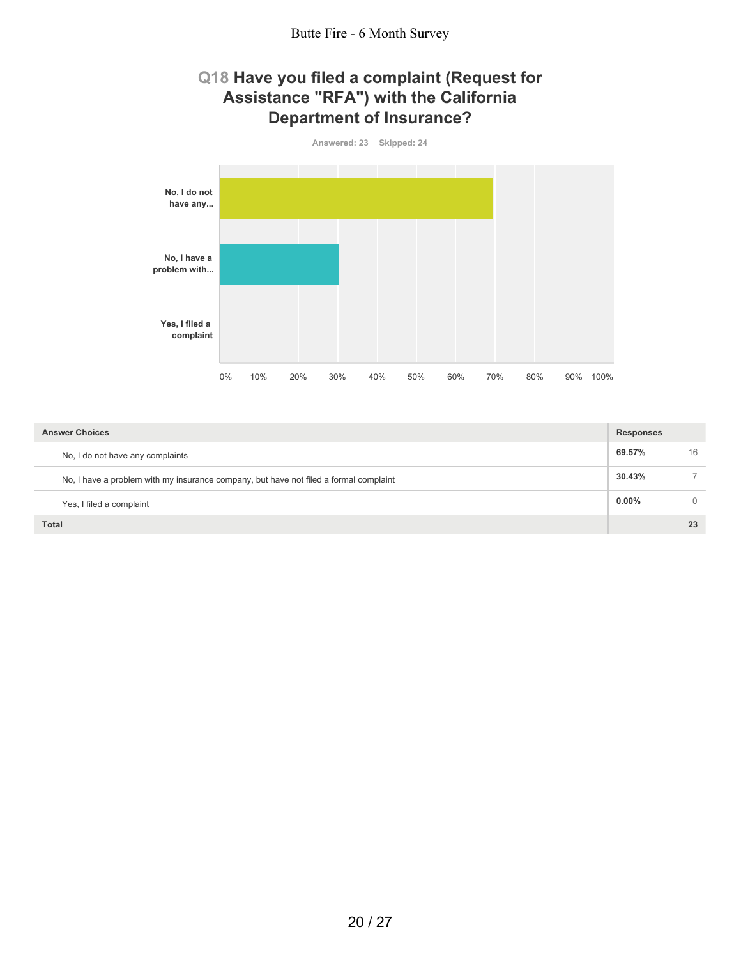#### **Q18 Have you filed a complaint (Request for Assistance "RFA") with the California Department of Insurance?**



| <b>Answer Choices</b>                                                                 | <b>Responses</b> |          |
|---------------------------------------------------------------------------------------|------------------|----------|
| No, I do not have any complaints                                                      | 69.57%           | 16       |
| No, I have a problem with my insurance company, but have not filed a formal complaint | 30.43%           |          |
| Yes, I filed a complaint                                                              | $0.00\%$         | $\Omega$ |
| Total                                                                                 |                  | 23       |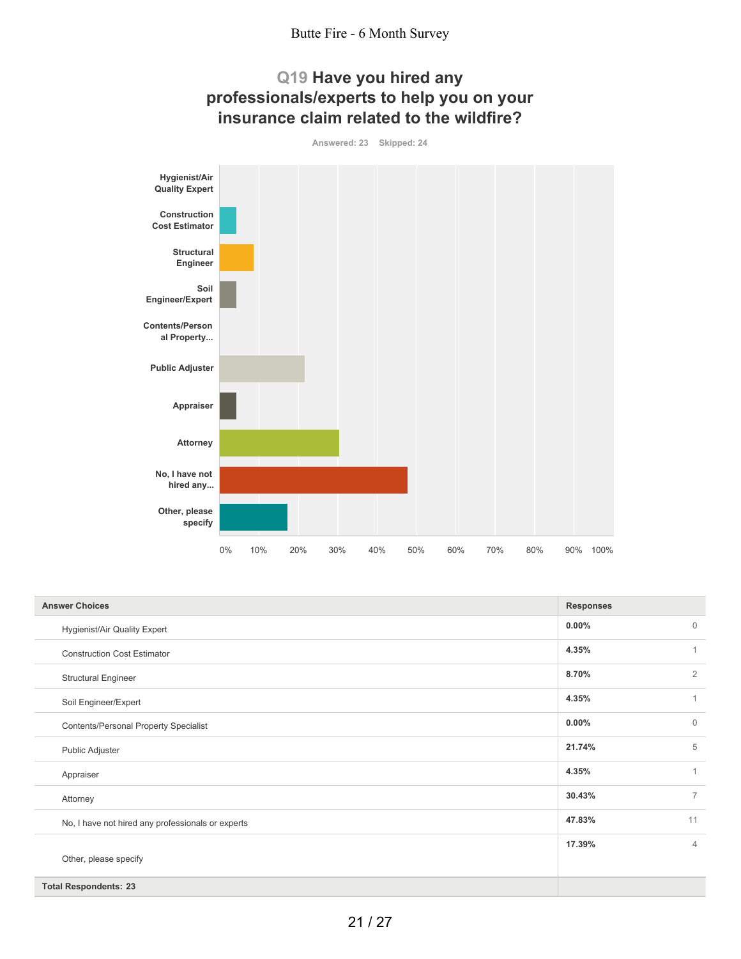





| <b>Answer Choices</b>                             | <b>Responses</b> |                |
|---------------------------------------------------|------------------|----------------|
| Hygienist/Air Quality Expert                      | $0.00\%$         | $\mathbf{0}$   |
| <b>Construction Cost Estimator</b>                | 4.35%            | $\mathbf{1}$   |
| <b>Structural Engineer</b>                        | 8.70%            | $\overline{2}$ |
| Soil Engineer/Expert                              | 4.35%            | $\mathbf{1}$   |
| <b>Contents/Personal Property Specialist</b>      | $0.00\%$         | $\mathbf{0}$   |
| Public Adjuster                                   | 21.74%           | 5              |
| Appraiser                                         | 4.35%            | $\overline{1}$ |
| Attorney                                          | 30.43%           | $\overline{7}$ |
| No, I have not hired any professionals or experts | 47.83%           | 11             |
|                                                   | 17.39%           | $\overline{4}$ |
| Other, please specify                             |                  |                |
| <b>Total Respondents: 23</b>                      |                  |                |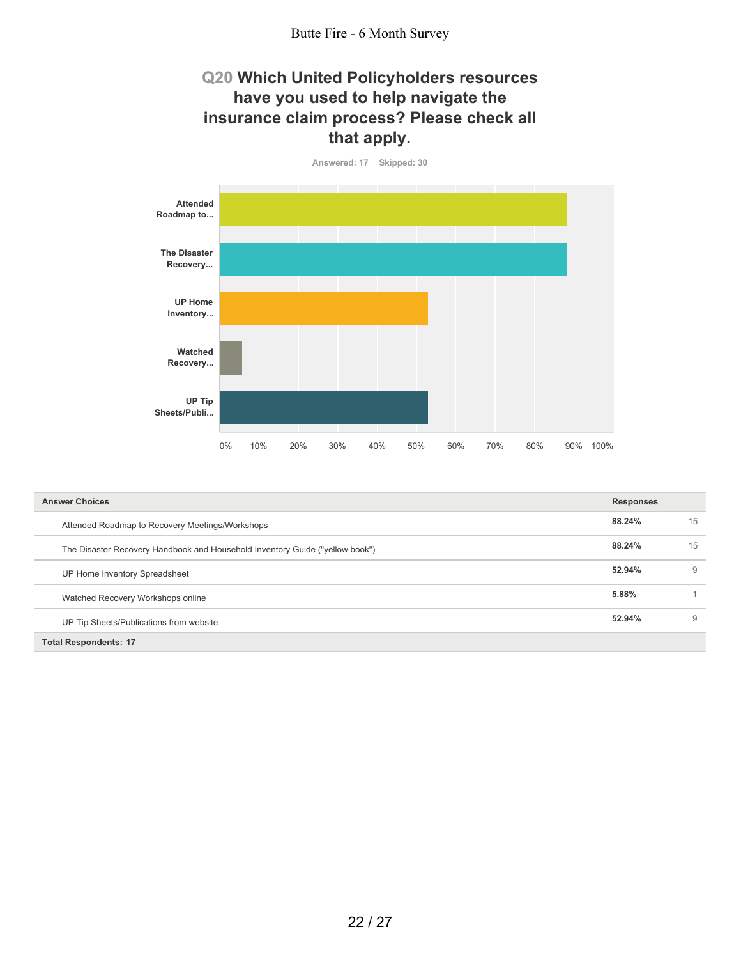#### Butte Fire - 6 Month Survey

#### **Q20 Which United Policyholders resources have you used to help navigate the insurance claim process? Please check all that apply.**



| <b>Answer Choices</b>                                                        | <b>Responses</b> |    |
|------------------------------------------------------------------------------|------------------|----|
| Attended Roadmap to Recovery Meetings/Workshops                              | 88.24%           | 15 |
| The Disaster Recovery Handbook and Household Inventory Guide ("yellow book") | 88.24%           | 15 |
| UP Home Inventory Spreadsheet                                                | 52.94%           | 9  |
| Watched Recovery Workshops online                                            | 5.88%            |    |
| UP Tip Sheets/Publications from website                                      | 52.94%           | 9  |
| <b>Total Respondents: 17</b>                                                 |                  |    |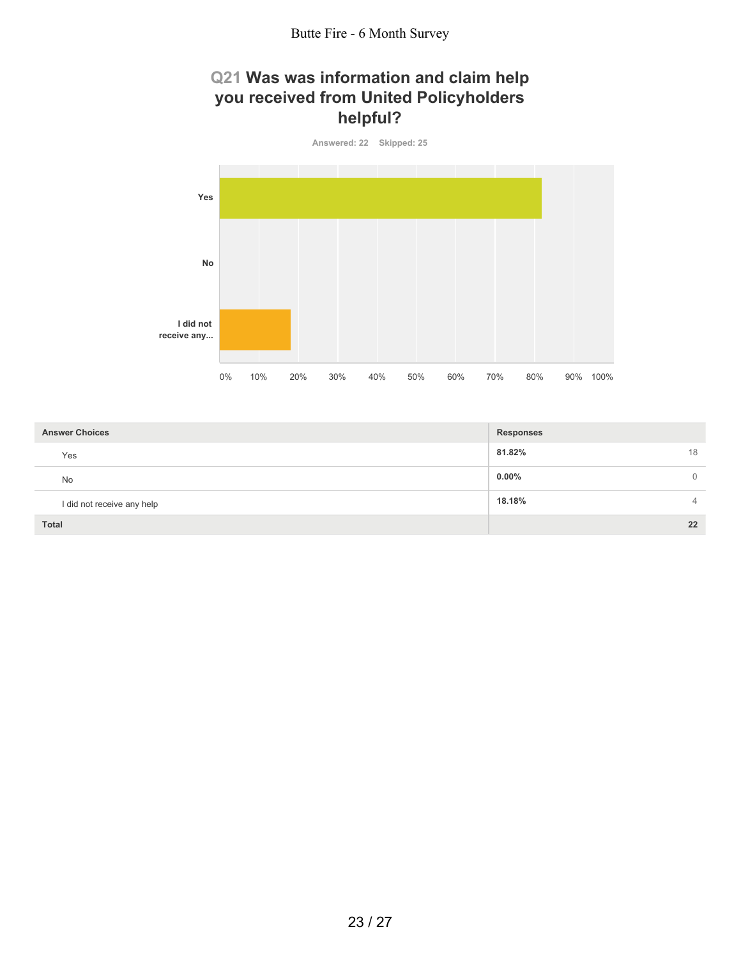## **Q21 Was was information and claim help you received from United Policyholders helpful?**



| <b>Answer Choices</b>      | <b>Responses</b>           |
|----------------------------|----------------------------|
| Yes                        | 81.82%<br>18               |
| No                         | $0.00\%$<br>$\overline{0}$ |
| I did not receive any help | 18.18%<br>$\overline{4}$   |
| Total                      | 22                         |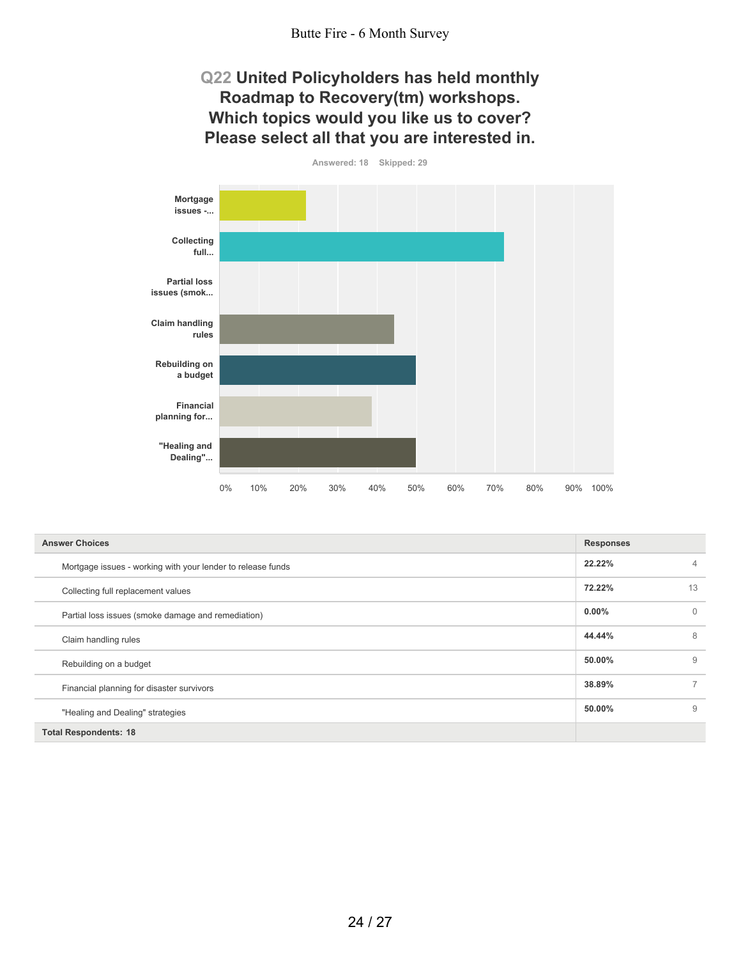#### Butte Fire - 6 Month Survey

#### **Q22 United Policyholders has held monthly Roadmap to Recovery(tm) workshops. Which topics would you like us to cover? Please select all that you are interested in.**

**Answered: 18 Skipped: 29 Mortgage issues -... Collecting full... Partial loss issues (smok... Claim handling rules Rebuilding on a budget Financial planning for... "Healing and Dealing"...** 0% 10% 20% 30% 40% 50% 60% 70% 80% 90% 100%

| <b>Answer Choices</b>                                       | <b>Responses</b> |                |
|-------------------------------------------------------------|------------------|----------------|
| Mortgage issues - working with your lender to release funds | 22.22%           | $\overline{4}$ |
| Collecting full replacement values                          | 72.22%           | 13             |
| Partial loss issues (smoke damage and remediation)          | $0.00\%$         | $\Omega$       |
| Claim handling rules                                        | 44.44%           | 8              |
| Rebuilding on a budget                                      | 50.00%           | 9              |
| Financial planning for disaster survivors                   | 38.89%           |                |
| "Healing and Dealing" strategies                            | 50.00%           | 9              |
| <b>Total Respondents: 18</b>                                |                  |                |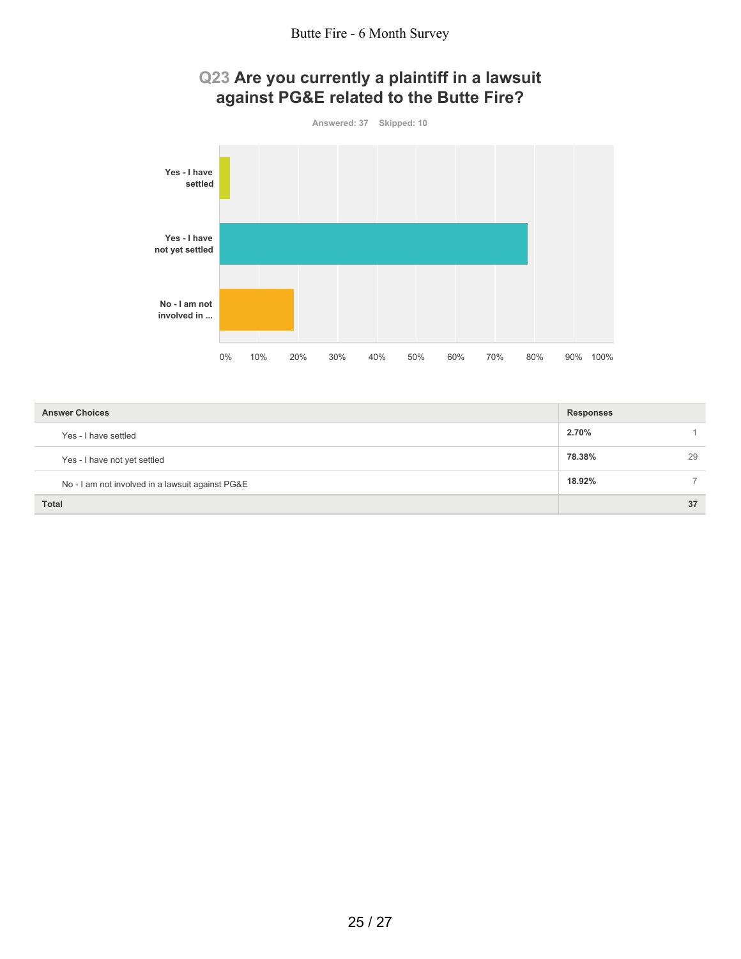# **Q23 Are you currently a plaintiff in a lawsuit against PG&E related to the Butte Fire?**



| <b>Answer Choices</b>                            | <b>Responses</b> |
|--------------------------------------------------|------------------|
| Yes - I have settled                             | 2.70%            |
| Yes - I have not yet settled                     | 78.38%<br>29     |
| No - I am not involved in a lawsuit against PG&E | 18.92%           |
| <b>Total</b>                                     | 37               |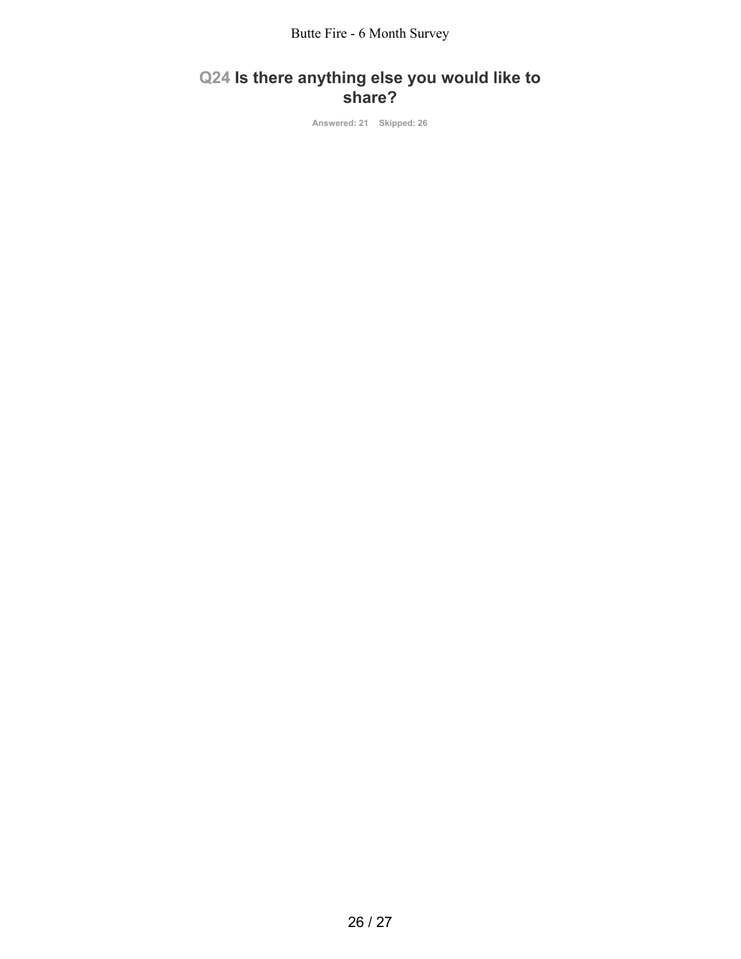# **Q24 Is there anything else you would like to share?**

**Answered: 21 Skipped: 26**